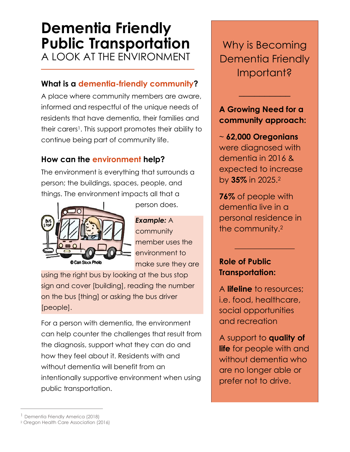# **Dementia Friendly Public Transportation** A LOOK AT THE ENVIRONMENT

## **What is a dementia-friendly community?**

A place where community members are aware, informed and respectful of the unique needs of residents that have dementia, their families and their carers<sup>1</sup>. This support promotes their ability to continue being part of community life.

# **How can the environment help?**

The environment is everything that surrounds a person; the buildings, spaces, people, and things. The environment impacts all that a



person does.

*Example:* A community member uses the environment to make sure they are

using the right bus by looking at the bus stop sign and cover [building], reading the number on the bus [thing] or asking the bus driver [people].

For a person with dementia, the environment can help counter the challenges that result from the diagnosis, support what they can do and how they feel about it. Residents with and without dementia will benefit from an intentionally supportive environment when using public transportation.

Why is Becoming Dementia Friendly Important?

#### **A Growing Need for a community approach:**

 $\overline{\phantom{a}}$  , where  $\overline{\phantom{a}}$ 

~ **62,000 Oregonians** were diagnosed with dementia in 2016 & expected to increase by **35%** in 2025.<sup>2</sup>

**76%** of people with dementia live in a personal residence in the community.<sup>2</sup>

 $\overline{\phantom{a}}$  , where  $\overline{\phantom{a}}$ 

# **Role of Public Transportation:**

A **lifeline** to resources; i.e. food, healthcare, social opportunities and recreation

A support to **quality of life** for people with and without dementia who are no longer able or prefer not to drive.

 $\overline{a}$ 

<sup>&</sup>lt;sup>1</sup> Dementia Friendly America (2018)

<sup>2</sup> Oregon Health Care Association (2016)